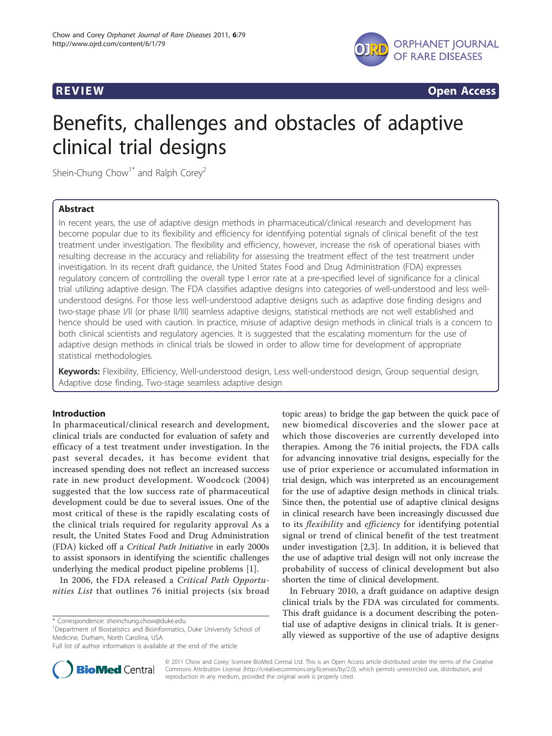

**REVIEW CONSIDERING CONSIDERING CONSIDERING CONSIDERING CONSIDERING CONSIDERING CONSIDERING CONSIDERING CONSIDERING CONSIDERING CONSIDERING CONSIDERING CONSIDERING CONSIDERING CONSIDERING CONSIDERING CONSIDERING CONSIDER** 

# Benefits, challenges and obstacles of adaptive clinical trial designs

Shein-Chung Chow<sup>1\*</sup> and Ralph Corey<sup>2</sup>

# Abstract

In recent years, the use of adaptive design methods in pharmaceutical/clinical research and development has become popular due to its flexibility and efficiency for identifying potential signals of clinical benefit of the test treatment under investigation. The flexibility and efficiency, however, increase the risk of operational biases with resulting decrease in the accuracy and reliability for assessing the treatment effect of the test treatment under investigation. In its recent draft guidance, the United States Food and Drug Administration (FDA) expresses regulatory concern of controlling the overall type I error rate at a pre-specified level of significance for a clinical trial utilizing adaptive design. The FDA classifies adaptive designs into categories of well-understood and less wellunderstood designs. For those less well-understood adaptive designs such as adaptive dose finding designs and two-stage phase I/II (or phase II/III) seamless adaptive designs, statistical methods are not well established and hence should be used with caution. In practice, misuse of adaptive design methods in clinical trials is a concern to both clinical scientists and regulatory agencies. It is suggested that the escalating momentum for the use of adaptive design methods in clinical trials be slowed in order to allow time for development of appropriate statistical methodologies.

Keywords: Flexibility, Efficiency, Well-understood design, Less well-understood design, Group sequential design, Adaptive dose finding, Two-stage seamless adaptive design

# Introduction

In pharmaceutical/clinical research and development, clinical trials are conducted for evaluation of safety and efficacy of a test treatment under investigation. In the past several decades, it has become evident that increased spending does not reflect an increased success rate in new product development. Woodcock (2004) suggested that the low success rate of pharmaceutical development could be due to several issues. One of the most critical of these is the rapidly escalating costs of the clinical trials required for regularity approval As a result, the United States Food and Drug Administration (FDA) kicked off a Critical Path Initiative in early 2000s to assist sponsors in identifying the scientific challenges underlying the medical product pipeline problems [\[1\]](#page-8-0).

In 2006, the FDA released a Critical Path Opportunities List that outlines 76 initial projects (six broad

\* Correspondence: [sheinchung.chow@duke.edu](mailto:sheinchung.chow@duke.edu)

<sup>1</sup>Department of Biostatistics and Bioinformatics, Duke University School of Medicine, Durham, North Carolina, USA

topic areas) to bridge the gap between the quick pace of new biomedical discoveries and the slower pace at which those discoveries are currently developed into therapies. Among the 76 initial projects, the FDA calls for advancing innovative trial designs, especially for the use of prior experience or accumulated information in trial design, which was interpreted as an encouragement for the use of adaptive design methods in clinical trials. Since then, the potential use of adaptive clinical designs in clinical research have been increasingly discussed due to its flexibility and efficiency for identifying potential signal or trend of clinical benefit of the test treatment under investigation [\[2](#page-9-0),[3\]](#page-9-0). In addition, it is believed that the use of adaptive trial design will not only increase the probability of success of clinical development but also shorten the time of clinical development.

In February 2010, a draft guidance on adaptive design clinical trials by the FDA was circulated for comments. This draft guidance is a document describing the potential use of adaptive designs in clinical trials. It is generally viewed as supportive of the use of adaptive designs



© 2011 Chow and Corey; licensee BioMed Central Ltd. This is an Open Access article distributed under the terms of the Creative Commons Attribution License [\(http://creativecommons.org/licenses/by/2.0](http://creativecommons.org/licenses/by/2.0)), which permits unrestricted use, distribution, and reproduction in any medium, provided the original work is properly cited.

Full list of author information is available at the end of the article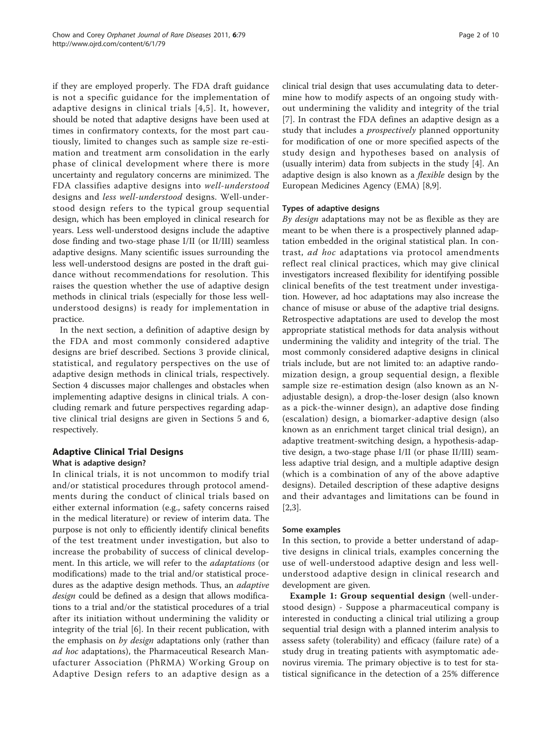if they are employed properly. The FDA draft guidance is not a specific guidance for the implementation of adaptive designs in clinical trials [[4](#page-9-0),[5](#page-9-0)]. It, however, should be noted that adaptive designs have been used at times in confirmatory contexts, for the most part cautiously, limited to changes such as sample size re-estimation and treatment arm consolidation in the early phase of clinical development where there is more uncertainty and regulatory concerns are minimized. The FDA classifies adaptive designs into well-understood designs and less well-understood designs. Well-understood design refers to the typical group sequential design, which has been employed in clinical research for years. Less well-understood designs include the adaptive dose finding and two-stage phase I/II (or II/III) seamless adaptive designs. Many scientific issues surrounding the less well-understood designs are posted in the draft guidance without recommendations for resolution. This raises the question whether the use of adaptive design methods in clinical trials (especially for those less wellunderstood designs) is ready for implementation in practice.

In the next section, a definition of adaptive design by the FDA and most commonly considered adaptive designs are brief described. Sections 3 provide clinical, statistical, and regulatory perspectives on the use of adaptive design methods in clinical trials, respectively. Section 4 discusses major challenges and obstacles when implementing adaptive designs in clinical trials. A concluding remark and future perspectives regarding adaptive clinical trial designs are given in Sections 5 and 6, respectively.

# Adaptive Clinical Trial Designs

# What is adaptive design?

In clinical trials, it is not uncommon to modify trial and/or statistical procedures through protocol amendments during the conduct of clinical trials based on either external information (e.g., safety concerns raised in the medical literature) or review of interim data. The purpose is not only to efficiently identify clinical benefits of the test treatment under investigation, but also to increase the probability of success of clinical development. In this article, we will refer to the adaptations (or modifications) made to the trial and/or statistical procedures as the adaptive design methods. Thus, an *adaptive* design could be defined as a design that allows modifications to a trial and/or the statistical procedures of a trial after its initiation without undermining the validity or integrity of the trial [[6](#page-9-0)]. In their recent publication, with the emphasis on by design adaptations only (rather than ad hoc adaptations), the Pharmaceutical Research Manufacturer Association (PhRMA) Working Group on Adaptive Design refers to an adaptive design as a clinical trial design that uses accumulating data to determine how to modify aspects of an ongoing study without undermining the validity and integrity of the trial [[7\]](#page-9-0). In contrast the FDA defines an adaptive design as a study that includes a *prospectively* planned opportunity for modification of one or more specified aspects of the study design and hypotheses based on analysis of (usually interim) data from subjects in the study [[4](#page-9-0)]. An adaptive design is also known as a flexible design by the European Medicines Agency (EMA) [\[8,9](#page-9-0)].

# Types of adaptive designs

By design adaptations may not be as flexible as they are meant to be when there is a prospectively planned adaptation embedded in the original statistical plan. In contrast, ad hoc adaptations via protocol amendments reflect real clinical practices, which may give clinical investigators increased flexibility for identifying possible clinical benefits of the test treatment under investigation. However, ad hoc adaptations may also increase the chance of misuse or abuse of the adaptive trial designs. Retrospective adaptations are used to develop the most appropriate statistical methods for data analysis without undermining the validity and integrity of the trial. The most commonly considered adaptive designs in clinical trials include, but are not limited to: an adaptive randomization design, a group sequential design, a flexible sample size re-estimation design (also known as an Nadjustable design), a drop-the-loser design (also known as a pick-the-winner design), an adaptive dose finding (escalation) design, a biomarker-adaptive design (also known as an enrichment target clinical trial design), an adaptive treatment-switching design, a hypothesis-adaptive design, a two-stage phase I/II (or phase II/III) seamless adaptive trial design, and a multiple adaptive design (which is a combination of any of the above adaptive designs). Detailed description of these adaptive designs and their advantages and limitations can be found in [[2,3\]](#page-9-0).

# Some examples

In this section, to provide a better understand of adaptive designs in clinical trials, examples concerning the use of well-understood adaptive design and less wellunderstood adaptive design in clinical research and development are given.

Example 1: Group sequential design (well-understood design) - Suppose a pharmaceutical company is interested in conducting a clinical trial utilizing a group sequential trial design with a planned interim analysis to assess safety (tolerability) and efficacy (failure rate) of a study drug in treating patients with asymptomatic adenovirus viremia. The primary objective is to test for statistical significance in the detection of a 25% difference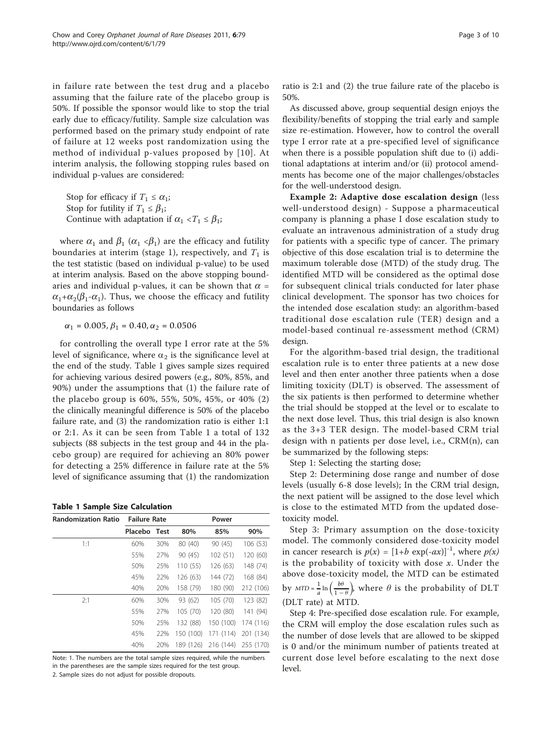in failure rate between the test drug and a placebo assuming that the failure rate of the placebo group is 50%. If possible the sponsor would like to stop the trial early due to efficacy/futility. Sample size calculation was performed based on the primary study endpoint of rate of failure at 12 weeks post randomization using the method of individual p-values proposed by [[10](#page-9-0)]. At interim analysis, the following stopping rules based on individual p-values are considered:

Stop for efficacy if  $T_1 \leq \alpha_1$ ; Stop for futility if  $T_1 \leq \beta_1$ ; Continue with adaptation if  $\alpha_1 < T_1 \leq \beta_1$ ;

where  $\alpha_1$  and  $\beta_1$  ( $\alpha_1$  < $\beta_1$ ) are the efficacy and futility boundaries at interim (stage 1), respectively, and  $T_1$  is the test statistic (based on individual p-value) to be used at interim analysis. Based on the above stopping boundaries and individual p-values, it can be shown that  $\alpha$  =  $\alpha_1+\alpha_2(\beta_1-\alpha_1)$ . Thus, we choose the efficacy and futility boundaries as follows

 $\alpha_1 = 0.005$ ,  $\beta_1 = 0.40$ ,  $\alpha_2 = 0.0506$ 

for controlling the overall type I error rate at the 5% level of significance, where  $\alpha_2$  is the significance level at the end of the study. Table 1 gives sample sizes required for achieving various desired powers (e.g., 80%, 85%, and 90%) under the assumptions that (1) the failure rate of the placebo group is 60%, 55%, 50%, 45%, or 40% (2) the clinically meaningful difference is 50% of the placebo failure rate, and (3) the randomization ratio is either 1:1 or 2:1. As it can be seen from Table 1 a total of 132 subjects (88 subjects in the test group and 44 in the placebo group) are required for achieving an 80% power for detecting a 25% difference in failure rate at the 5% level of significance assuming that (1) the randomization

Table 1 Sample Size Calculation

| <b>Randomization Ratio</b> | <b>Failure Rate</b> |             | Power     |           |           |
|----------------------------|---------------------|-------------|-----------|-----------|-----------|
|                            | Placebo             | <b>Test</b> | 80%       | 85%       | 90%       |
| 1:1                        | 60%                 | 30%         | 80 (40)   | 90 (45)   | 106 (53)  |
|                            | 55%                 | 27%         | 90 (45)   | 102 (51)  | 120 (60)  |
|                            | 50%                 | 25%         | 110 (55)  | 126 (63)  | 148 (74)  |
|                            | 45%                 | 22%         | 126 (63)  | 144 (72)  | 168 (84)  |
|                            | 40%                 | 20%         | 158 (79)  | 180 (90)  | 212 (106) |
| 2:1                        | 60%                 | 30%         | 93 (62)   | 105 (70)  | 123 (82)  |
|                            | 55%                 | 27%         | 105 (70)  | 120 (80)  | 141 (94)  |
|                            | 50%                 | 25%         | 132 (88)  | 150 (100) | 174 (116) |
|                            | 45%                 | 22%         | 150 (100) | 171 (114) | 201 (134) |
|                            | 40%                 | 20%         | 189 (126) | 216 (144) | 255 (170) |

Note: 1. The numbers are the total sample sizes required, while the numbers in the parentheses are the sample sizes required for the test group.

2. Sample sizes do not adjust for possible dropouts.

Page 3 of 10

ratio is 2:1 and (2) the true failure rate of the placebo is 50%.

As discussed above, group sequential design enjoys the flexibility/benefits of stopping the trial early and sample size re-estimation. However, how to control the overall type I error rate at a pre-specified level of significance when there is a possible population shift due to (i) additional adaptations at interim and/or (ii) protocol amendments has become one of the major challenges/obstacles for the well-understood design.

Example 2: Adaptive dose escalation design (less well-understood design) - Suppose a pharmaceutical company is planning a phase I dose escalation study to evaluate an intravenous administration of a study drug for patients with a specific type of cancer. The primary objective of this dose escalation trial is to determine the maximum tolerable dose (MTD) of the study drug. The identified MTD will be considered as the optimal dose for subsequent clinical trials conducted for later phase clinical development. The sponsor has two choices for the intended dose escalation study: an algorithm-based traditional dose escalation rule (TER) design and a model-based continual re-assessment method (CRM) design.

For the algorithm-based trial design, the traditional escalation rule is to enter three patients at a new dose level and then enter another three patients when a dose limiting toxicity (DLT) is observed. The assessment of the six patients is then performed to determine whether the trial should be stopped at the level or to escalate to the next dose level. Thus, this trial design is also known as the 3+3 TER design. The model-based CRM trial design with n patients per dose level, i.e., CRM(n), can be summarized by the following steps:

Step 1: Selecting the starting dose;

Step 2: Determining dose range and number of dose levels (usually 6-8 dose levels); In the CRM trial design, the next patient will be assigned to the dose level which is close to the estimated MTD from the updated dosetoxicity model.

Step 3: Primary assumption on the dose-toxicity model. The commonly considered dose-toxicity model in cancer research is  $p(x) = [1+b \exp(-ax)]^{-1}$ , where  $p(x)$ is the probability of toxicity with dose  $x$ . Under the above dose-toxicity model, the MTD can be estimated by  $MTD = \frac{1}{a} \ln \left( \frac{b \theta}{1 - a} \right)$  $1 - \theta$ ), where  $\theta$  is the probability of DLT (DLT rate) at MTD.

Step 4: Pre-specified dose escalation rule. For example, the CRM will employ the dose escalation rules such as the number of dose levels that are allowed to be skipped is 0 and/or the minimum number of patients treated at current dose level before escalating to the next dose level.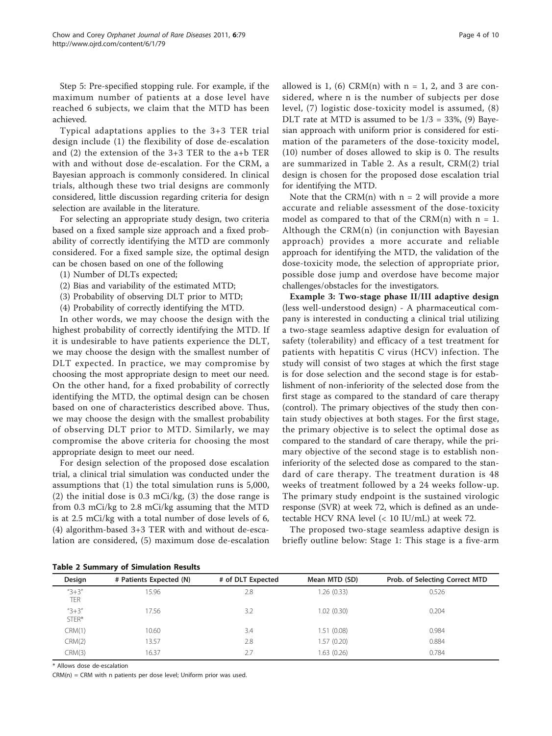Step 5: Pre-specified stopping rule. For example, if the maximum number of patients at a dose level have reached 6 subjects, we claim that the MTD has been achieved.

Typical adaptations applies to the 3+3 TER trial design include (1) the flexibility of dose de-escalation and (2) the extension of the 3+3 TER to the a+b TER with and without dose de-escalation. For the CRM, a Bayesian approach is commonly considered. In clinical trials, although these two trial designs are commonly considered, little discussion regarding criteria for design selection are available in the literature.

For selecting an appropriate study design, two criteria based on a fixed sample size approach and a fixed probability of correctly identifying the MTD are commonly considered. For a fixed sample size, the optimal design can be chosen based on one of the following

- (1) Number of DLTs expected;
- (2) Bias and variability of the estimated MTD;
- (3) Probability of observing DLT prior to MTD;
- (4) Probability of correctly identifying the MTD.

In other words, we may choose the design with the highest probability of correctly identifying the MTD. If it is undesirable to have patients experience the DLT, we may choose the design with the smallest number of DLT expected. In practice, we may compromise by choosing the most appropriate design to meet our need. On the other hand, for a fixed probability of correctly identifying the MTD, the optimal design can be chosen based on one of characteristics described above. Thus, we may choose the design with the smallest probability of observing DLT prior to MTD. Similarly, we may compromise the above criteria for choosing the most appropriate design to meet our need.

For design selection of the proposed dose escalation trial, a clinical trial simulation was conducted under the assumptions that (1) the total simulation runs is 5,000, (2) the initial dose is 0.3 mCi/kg, (3) the dose range is from 0.3 mCi/kg to 2.8 mCi/kg assuming that the MTD is at 2.5 mCi/kg with a total number of dose levels of 6, (4) algorithm-based 3+3 TER with and without de-escalation are considered, (5) maximum dose de-escalation allowed is 1, (6) CRM(n) with  $n = 1, 2$ , and 3 are considered, where n is the number of subjects per dose level, (7) logistic dose-toxicity model is assumed, (8) DLT rate at MTD is assumed to be  $1/3 = 33\%$ , (9) Bayesian approach with uniform prior is considered for estimation of the parameters of the dose-toxicity model, (10) number of doses allowed to skip is 0. The results are summarized in Table 2. As a result, CRM(2) trial design is chosen for the proposed dose escalation trial for identifying the MTD.

Note that the  $CRM(n)$  with  $n = 2$  will provide a more accurate and reliable assessment of the dose-toxicity model as compared to that of the  $CRM(n)$  with  $n = 1$ . Although the CRM(n) (in conjunction with Bayesian approach) provides a more accurate and reliable approach for identifying the MTD, the validation of the dose-toxicity mode, the selection of appropriate prior, possible dose jump and overdose have become major challenges/obstacles for the investigators.

Example 3: Two-stage phase II/III adaptive design (less well-understood design) - A pharmaceutical company is interested in conducting a clinical trial utilizing a two-stage seamless adaptive design for evaluation of safety (tolerability) and efficacy of a test treatment for patients with hepatitis C virus (HCV) infection. The study will consist of two stages at which the first stage is for dose selection and the second stage is for establishment of non-inferiority of the selected dose from the first stage as compared to the standard of care therapy (control). The primary objectives of the study then contain study objectives at both stages. For the first stage, the primary objective is to select the optimal dose as compared to the standard of care therapy, while the primary objective of the second stage is to establish noninferiority of the selected dose as compared to the standard of care therapy. The treatment duration is 48 weeks of treatment followed by a 24 weeks follow-up. The primary study endpoint is the sustained virologic response (SVR) at week 72, which is defined as an undetectable HCV RNA level (< 10 IU/mL) at week 72.

The proposed two-stage seamless adaptive design is briefly outline below: Stage 1: This stage is a five-arm

|  | <b>Table 2 Summary of Simulation Results</b> |  |
|--|----------------------------------------------|--|
|  |                                              |  |

Design # Patients Expected (N) # of DLT Expected Mean MTD (SD) Prob. of Selecting Correct MTD "3+3" TER 15.96 2.8 2.8 1.26 (0.33) 0.526  $"3+3"$ STER\* 17.56 3.2 3.2 1.02 (0.30) 3.2 0.204 CRM(1) 10.60 10.60 3.4 1.51 (0.08) 0.984 0.984 CRM(2) 13.57 2.8 1.57 (0.20) 0.884 CRM(3) 16.37 1.63 (0.26) 16.37 2.7 1.63 (0.26) 1.63 (0.26) 2.7 2.7 1.63 (0.26) 2.7 3.4

\* Allows dose de-escalation

 $CRM(n) = CRM$  with n patients per dose level; Uniform prior was used.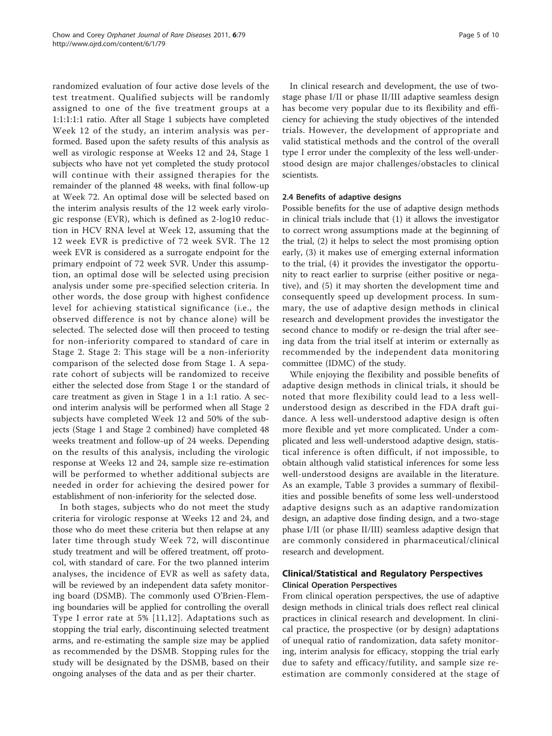randomized evaluation of four active dose levels of the test treatment. Qualified subjects will be randomly assigned to one of the five treatment groups at a 1:1:1:1:1 ratio. After all Stage 1 subjects have completed Week 12 of the study, an interim analysis was performed. Based upon the safety results of this analysis as well as virologic response at Weeks 12 and 24, Stage 1 subjects who have not yet completed the study protocol will continue with their assigned therapies for the remainder of the planned 48 weeks, with final follow-up at Week 72. An optimal dose will be selected based on the interim analysis results of the 12 week early virologic response (EVR), which is defined as 2-log10 reduction in HCV RNA level at Week 12, assuming that the 12 week EVR is predictive of 72 week SVR. The 12 week EVR is considered as a surrogate endpoint for the primary endpoint of 72 week SVR. Under this assumption, an optimal dose will be selected using precision analysis under some pre-specified selection criteria. In other words, the dose group with highest confidence level for achieving statistical significance (i.e., the observed difference is not by chance alone) will be selected. The selected dose will then proceed to testing for non-inferiority compared to standard of care in Stage 2. Stage 2: This stage will be a non-inferiority comparison of the selected dose from Stage 1. A separate cohort of subjects will be randomized to receive either the selected dose from Stage 1 or the standard of care treatment as given in Stage 1 in a 1:1 ratio. A second interim analysis will be performed when all Stage 2 subjects have completed Week 12 and 50% of the subjects (Stage 1 and Stage 2 combined) have completed 48 weeks treatment and follow-up of 24 weeks. Depending on the results of this analysis, including the virologic response at Weeks 12 and 24, sample size re-estimation will be performed to whether additional subjects are needed in order for achieving the desired power for establishment of non-inferiority for the selected dose.

In both stages, subjects who do not meet the study criteria for virologic response at Weeks 12 and 24, and those who do meet these criteria but then relapse at any later time through study Week 72, will discontinue study treatment and will be offered treatment, off protocol, with standard of care. For the two planned interim analyses, the incidence of EVR as well as safety data, will be reviewed by an independent data safety monitoring board (DSMB). The commonly used O'Brien-Fleming boundaries will be applied for controlling the overall Type I error rate at 5% [[11](#page-9-0),[12\]](#page-9-0). Adaptations such as stopping the trial early, discontinuing selected treatment arms, and re-estimating the sample size may be applied as recommended by the DSMB. Stopping rules for the study will be designated by the DSMB, based on their ongoing analyses of the data and as per their charter.

In clinical research and development, the use of twostage phase I/II or phase II/III adaptive seamless design has become very popular due to its flexibility and efficiency for achieving the study objectives of the intended trials. However, the development of appropriate and valid statistical methods and the control of the overall type I error under the complexity of the less well-understood design are major challenges/obstacles to clinical scientists.

### 2.4 Benefits of adaptive designs

Possible benefits for the use of adaptive design methods in clinical trials include that (1) it allows the investigator to correct wrong assumptions made at the beginning of the trial, (2) it helps to select the most promising option early, (3) it makes use of emerging external information to the trial, (4) it provides the investigator the opportunity to react earlier to surprise (either positive or negative), and (5) it may shorten the development time and consequently speed up development process. In summary, the use of adaptive design methods in clinical research and development provides the investigator the second chance to modify or re-design the trial after seeing data from the trial itself at interim or externally as recommended by the independent data monitoring committee (IDMC) of the study.

While enjoying the flexibility and possible benefits of adaptive design methods in clinical trials, it should be noted that more flexibility could lead to a less wellunderstood design as described in the FDA draft guidance. A less well-understood adaptive design is often more flexible and yet more complicated. Under a complicated and less well-understood adaptive design, statistical inference is often difficult, if not impossible, to obtain although valid statistical inferences for some less well-understood designs are available in the literature. As an example, Table [3](#page-5-0) provides a summary of flexibilities and possible benefits of some less well-understood adaptive designs such as an adaptive randomization design, an adaptive dose finding design, and a two-stage phase I/II (or phase II/III) seamless adaptive design that are commonly considered in pharmaceutical/clinical research and development.

# Clinical/Statistical and Regulatory Perspectives Clinical Operation Perspectives

From clinical operation perspectives, the use of adaptive design methods in clinical trials does reflect real clinical practices in clinical research and development. In clinical practice, the prospective (or by design) adaptations of unequal ratio of randomization, data safety monitoring, interim analysis for efficacy, stopping the trial early due to safety and efficacy/futility, and sample size reestimation are commonly considered at the stage of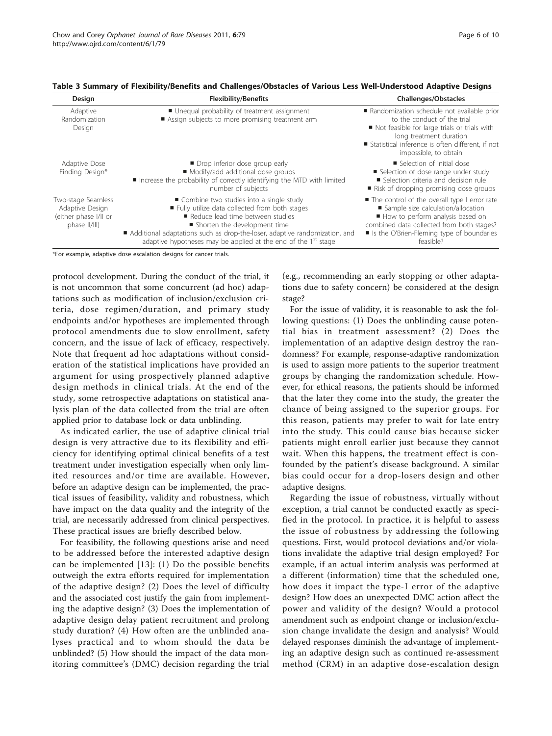| Design                                                                          | <b>Flexibility/Benefits</b>                                                                                                                                                                                                                                                                                              | <b>Challenges/Obstacles</b>                                                                                                                                                                                                        |
|---------------------------------------------------------------------------------|--------------------------------------------------------------------------------------------------------------------------------------------------------------------------------------------------------------------------------------------------------------------------------------------------------------------------|------------------------------------------------------------------------------------------------------------------------------------------------------------------------------------------------------------------------------------|
| Adaptive<br>Randomization<br>Design                                             | ■ Unequal probability of treatment assignment<br>Assign subjects to more promising treatment arm                                                                                                                                                                                                                         | Randomization schedule not available prior<br>to the conduct of the trial<br>Not feasible for large trials or trials with<br>long treatment duration<br>Statistical inference is often different, if not<br>impossible, to obtain  |
| Adaptive Dose<br>Finding Design*                                                | • Drop inferior dose group early<br>Modify/add additional dose groups<br>Increase the probability of correctly identifying the MTD with limited<br>number of subjects                                                                                                                                                    | Selection of initial dose<br>■ Selection of dose range under study<br>Selection criteria and decision rule<br>Risk of dropping promising dose groups                                                                               |
| Two-stage Seamless<br>Adaptive Design<br>(either phase I/II or<br>phase II/III) | Combine two studies into a single study<br>Fully utilize data collected from both stages<br>Reduce lead time between studies<br>Shorten the development time<br>Additional adaptations such as drop-the-loser, adaptive randomization, and<br>adaptive hypotheses may be applied at the end of the 1 <sup>st</sup> stage | ■ The control of the overall type I error rate<br>Sample size calculation/allocation<br>How to perform analysis based on<br>combined data collected from both stages?<br>If Is the O'Brien-Fleming type of boundaries<br>feasible? |

<span id="page-5-0"></span>Table 3 Summary of Flexibility/Benefits and Challenges/Obstacles of Various Less Well-Understood Adaptive Designs

\*For example, adaptive dose escalation designs for cancer trials.

protocol development. During the conduct of the trial, it is not uncommon that some concurrent (ad hoc) adaptations such as modification of inclusion/exclusion criteria, dose regimen/duration, and primary study endpoints and/or hypotheses are implemented through protocol amendments due to slow enrollment, safety concern, and the issue of lack of efficacy, respectively. Note that frequent ad hoc adaptations without consideration of the statistical implications have provided an argument for using prospectively planned adaptive design methods in clinical trials. At the end of the study, some retrospective adaptations on statistical analysis plan of the data collected from the trial are often applied prior to database lock or data unblinding.

As indicated earlier, the use of adaptive clinical trial design is very attractive due to its flexibility and efficiency for identifying optimal clinical benefits of a test treatment under investigation especially when only limited resources and/or time are available. However, before an adaptive design can be implemented, the practical issues of feasibility, validity and robustness, which have impact on the data quality and the integrity of the trial, are necessarily addressed from clinical perspectives. These practical issues are briefly described below.

For feasibility, the following questions arise and need to be addressed before the interested adaptive design can be implemented [\[13\]](#page-9-0): (1) Do the possible benefits outweigh the extra efforts required for implementation of the adaptive design? (2) Does the level of difficulty and the associated cost justify the gain from implementing the adaptive design? (3) Does the implementation of adaptive design delay patient recruitment and prolong study duration? (4) How often are the unblinded analyses practical and to whom should the data be unblinded? (5) How should the impact of the data monitoring committee's (DMC) decision regarding the trial

(e.g., recommending an early stopping or other adaptations due to safety concern) be considered at the design stage?

For the issue of validity, it is reasonable to ask the following questions: (1) Does the unblinding cause potential bias in treatment assessment? (2) Does the implementation of an adaptive design destroy the randomness? For example, response-adaptive randomization is used to assign more patients to the superior treatment groups by changing the randomization schedule. However, for ethical reasons, the patients should be informed that the later they come into the study, the greater the chance of being assigned to the superior groups. For this reason, patients may prefer to wait for late entry into the study. This could cause bias because sicker patients might enroll earlier just because they cannot wait. When this happens, the treatment effect is confounded by the patient's disease background. A similar bias could occur for a drop-losers design and other adaptive designs.

Regarding the issue of robustness, virtually without exception, a trial cannot be conducted exactly as specified in the protocol. In practice, it is helpful to assess the issue of robustness by addressing the following questions. First, would protocol deviations and/or violations invalidate the adaptive trial design employed? For example, if an actual interim analysis was performed at a different (information) time that the scheduled one, how does it impact the type-I error of the adaptive design? How does an unexpected DMC action affect the power and validity of the design? Would a protocol amendment such as endpoint change or inclusion/exclusion change invalidate the design and analysis? Would delayed responses diminish the advantage of implementing an adaptive design such as continued re-assessment method (CRM) in an adaptive dose-escalation design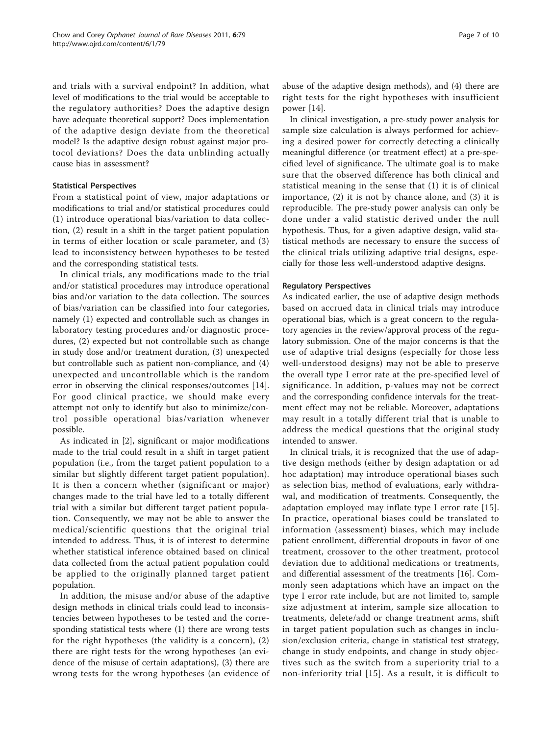and trials with a survival endpoint? In addition, what level of modifications to the trial would be acceptable to the regulatory authorities? Does the adaptive design have adequate theoretical support? Does implementation of the adaptive design deviate from the theoretical model? Is the adaptive design robust against major protocol deviations? Does the data unblinding actually cause bias in assessment?

# Statistical Perspectives

From a statistical point of view, major adaptations or modifications to trial and/or statistical procedures could (1) introduce operational bias/variation to data collection, (2) result in a shift in the target patient population in terms of either location or scale parameter, and (3) lead to inconsistency between hypotheses to be tested and the corresponding statistical tests.

In clinical trials, any modifications made to the trial and/or statistical procedures may introduce operational bias and/or variation to the data collection. The sources of bias/variation can be classified into four categories, namely (1) expected and controllable such as changes in laboratory testing procedures and/or diagnostic procedures, (2) expected but not controllable such as change in study dose and/or treatment duration, (3) unexpected but controllable such as patient non-compliance, and (4) unexpected and uncontrollable which is the random error in observing the clinical responses/outcomes [\[14](#page-9-0)]. For good clinical practice, we should make every attempt not only to identify but also to minimize/control possible operational bias/variation whenever possible.

As indicated in [[2\]](#page-9-0), significant or major modifications made to the trial could result in a shift in target patient population (i.e., from the target patient population to a similar but slightly different target patient population). It is then a concern whether (significant or major) changes made to the trial have led to a totally different trial with a similar but different target patient population. Consequently, we may not be able to answer the medical/scientific questions that the original trial intended to address. Thus, it is of interest to determine whether statistical inference obtained based on clinical data collected from the actual patient population could be applied to the originally planned target patient population.

In addition, the misuse and/or abuse of the adaptive design methods in clinical trials could lead to inconsistencies between hypotheses to be tested and the corresponding statistical tests where (1) there are wrong tests for the right hypotheses (the validity is a concern), (2) there are right tests for the wrong hypotheses (an evidence of the misuse of certain adaptations), (3) there are wrong tests for the wrong hypotheses (an evidence of abuse of the adaptive design methods), and (4) there are right tests for the right hypotheses with insufficient power [\[14\]](#page-9-0).

In clinical investigation, a pre-study power analysis for sample size calculation is always performed for achieving a desired power for correctly detecting a clinically meaningful difference (or treatment effect) at a pre-specified level of significance. The ultimate goal is to make sure that the observed difference has both clinical and statistical meaning in the sense that (1) it is of clinical importance, (2) it is not by chance alone, and (3) it is reproducible. The pre-study power analysis can only be done under a valid statistic derived under the null hypothesis. Thus, for a given adaptive design, valid statistical methods are necessary to ensure the success of the clinical trials utilizing adaptive trial designs, especially for those less well-understood adaptive designs.

# Regulatory Perspectives

As indicated earlier, the use of adaptive design methods based on accrued data in clinical trials may introduce operational bias, which is a great concern to the regulatory agencies in the review/approval process of the regulatory submission. One of the major concerns is that the use of adaptive trial designs (especially for those less well-understood designs) may not be able to preserve the overall type I error rate at the pre-specified level of significance. In addition, p-values may not be correct and the corresponding confidence intervals for the treatment effect may not be reliable. Moreover, adaptations may result in a totally different trial that is unable to address the medical questions that the original study intended to answer.

In clinical trials, it is recognized that the use of adaptive design methods (either by design adaptation or ad hoc adaptation) may introduce operational biases such as selection bias, method of evaluations, early withdrawal, and modification of treatments. Consequently, the adaptation employed may inflate type I error rate [[15](#page-9-0)]. In practice, operational biases could be translated to information (assessment) biases, which may include patient enrollment, differential dropouts in favor of one treatment, crossover to the other treatment, protocol deviation due to additional medications or treatments, and differential assessment of the treatments [[16](#page-9-0)]. Commonly seen adaptations which have an impact on the type I error rate include, but are not limited to, sample size adjustment at interim, sample size allocation to treatments, delete/add or change treatment arms, shift in target patient population such as changes in inclusion/exclusion criteria, change in statistical test strategy, change in study endpoints, and change in study objectives such as the switch from a superiority trial to a non-inferiority trial [[15](#page-9-0)]. As a result, it is difficult to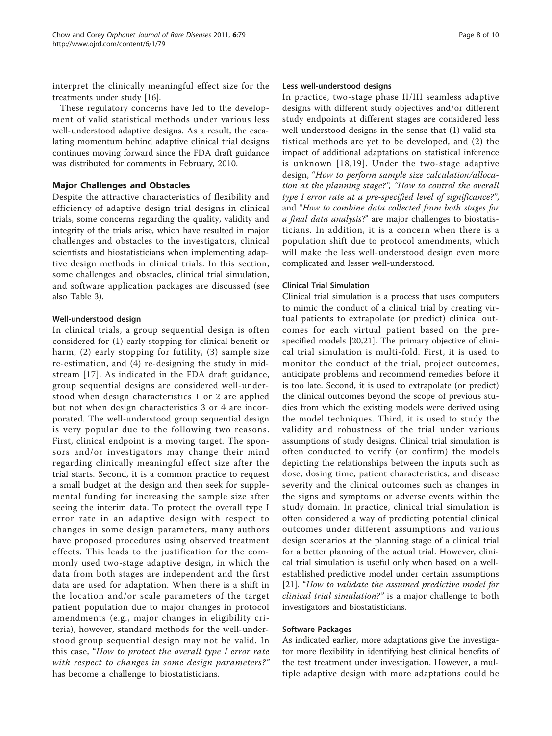interpret the clinically meaningful effect size for the treatments under study [[16\]](#page-9-0).

These regulatory concerns have led to the development of valid statistical methods under various less well-understood adaptive designs. As a result, the escalating momentum behind adaptive clinical trial designs continues moving forward since the FDA draft guidance was distributed for comments in February, 2010.

# Major Challenges and Obstacles

Despite the attractive characteristics of flexibility and efficiency of adaptive design trial designs in clinical trials, some concerns regarding the quality, validity and integrity of the trials arise, which have resulted in major challenges and obstacles to the investigators, clinical scientists and biostatisticians when implementing adaptive design methods in clinical trials. In this section, some challenges and obstacles, clinical trial simulation, and software application packages are discussed (see also Table [3\)](#page-5-0).

# Well-understood design

In clinical trials, a group sequential design is often considered for (1) early stopping for clinical benefit or harm, (2) early stopping for futility, (3) sample size re-estimation, and (4) re-designing the study in midstream [[17\]](#page-9-0). As indicated in the FDA draft guidance, group sequential designs are considered well-understood when design characteristics 1 or 2 are applied but not when design characteristics 3 or 4 are incorporated. The well-understood group sequential design is very popular due to the following two reasons. First, clinical endpoint is a moving target. The sponsors and/or investigators may change their mind regarding clinically meaningful effect size after the trial starts. Second, it is a common practice to request a small budget at the design and then seek for supplemental funding for increasing the sample size after seeing the interim data. To protect the overall type I error rate in an adaptive design with respect to changes in some design parameters, many authors have proposed procedures using observed treatment effects. This leads to the justification for the commonly used two-stage adaptive design, in which the data from both stages are independent and the first data are used for adaptation. When there is a shift in the location and/or scale parameters of the target patient population due to major changes in protocol amendments (e.g., major changes in eligibility criteria), however, standard methods for the well-understood group sequential design may not be valid. In this case, "How to protect the overall type I error rate with respect to changes in some design parameters?" has become a challenge to biostatisticians.

### Less well-understood designs

In practice, two-stage phase II/III seamless adaptive designs with different study objectives and/or different study endpoints at different stages are considered less well-understood designs in the sense that (1) valid statistical methods are yet to be developed, and (2) the impact of additional adaptations on statistical inference is unknown [[18](#page-9-0),[19\]](#page-9-0). Under the two-stage adaptive design, "How to perform sample size calculation/allocation at the planning stage?", "How to control the overall type I error rate at a pre-specified level of significance?", and "How to combine data collected from both stages for a final data analysis?" are major challenges to biostatisticians. In addition, it is a concern when there is a population shift due to protocol amendments, which will make the less well-understood design even more complicated and lesser well-understood.

# Clinical Trial Simulation

Clinical trial simulation is a process that uses computers to mimic the conduct of a clinical trial by creating virtual patients to extrapolate (or predict) clinical outcomes for each virtual patient based on the prespecified models [[20,21\]](#page-9-0). The primary objective of clinical trial simulation is multi-fold. First, it is used to monitor the conduct of the trial, project outcomes, anticipate problems and recommend remedies before it is too late. Second, it is used to extrapolate (or predict) the clinical outcomes beyond the scope of previous studies from which the existing models were derived using the model techniques. Third, it is used to study the validity and robustness of the trial under various assumptions of study designs. Clinical trial simulation is often conducted to verify (or confirm) the models depicting the relationships between the inputs such as dose, dosing time, patient characteristics, and disease severity and the clinical outcomes such as changes in the signs and symptoms or adverse events within the study domain. In practice, clinical trial simulation is often considered a way of predicting potential clinical outcomes under different assumptions and various design scenarios at the planning stage of a clinical trial for a better planning of the actual trial. However, clinical trial simulation is useful only when based on a wellestablished predictive model under certain assumptions [[21\]](#page-9-0). "How to validate the assumed predictive model for clinical trial simulation?" is a major challenge to both investigators and biostatisticians.

### Software Packages

As indicated earlier, more adaptations give the investigator more flexibility in identifying best clinical benefits of the test treatment under investigation. However, a multiple adaptive design with more adaptations could be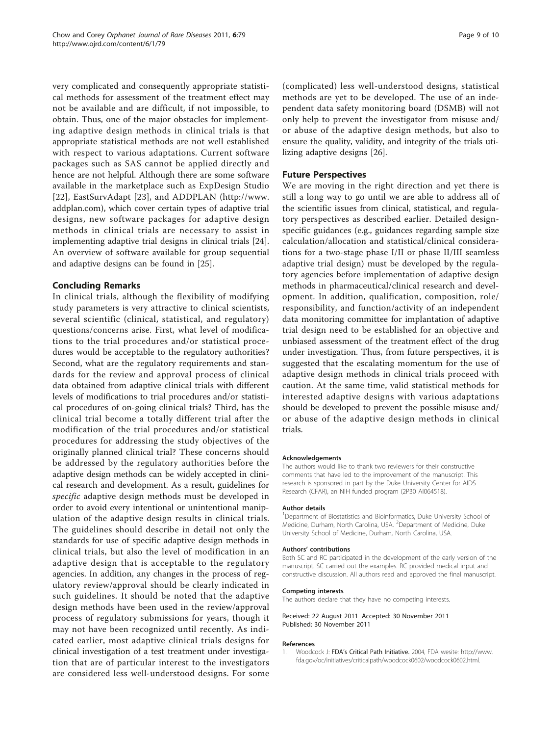<span id="page-8-0"></span>very complicated and consequently appropriate statistical methods for assessment of the treatment effect may not be available and are difficult, if not impossible, to obtain. Thus, one of the major obstacles for implementing adaptive design methods in clinical trials is that appropriate statistical methods are not well established with respect to various adaptations. Current software packages such as SAS cannot be applied directly and hence are not helpful. Although there are some software available in the marketplace such as ExpDesign Studio [[22](#page-9-0)], EastSurvAdapt [[23](#page-9-0)], and ADDPLAN [\(http://www.](http://www.addplan.com) [addplan.com\)](http://www.addplan.com), which cover certain types of adaptive trial designs, new software packages for adaptive design methods in clinical trials are necessary to assist in implementing adaptive trial designs in clinical trials [[24](#page-9-0)]. An overview of software available for group sequential and adaptive designs can be found in [\[25\]](#page-9-0).

# Concluding Remarks

In clinical trials, although the flexibility of modifying study parameters is very attractive to clinical scientists, several scientific (clinical, statistical, and regulatory) questions/concerns arise. First, what level of modifications to the trial procedures and/or statistical procedures would be acceptable to the regulatory authorities? Second, what are the regulatory requirements and standards for the review and approval process of clinical data obtained from adaptive clinical trials with different levels of modifications to trial procedures and/or statistical procedures of on-going clinical trials? Third, has the clinical trial become a totally different trial after the modification of the trial procedures and/or statistical procedures for addressing the study objectives of the originally planned clinical trial? These concerns should be addressed by the regulatory authorities before the adaptive design methods can be widely accepted in clinical research and development. As a result, guidelines for specific adaptive design methods must be developed in order to avoid every intentional or unintentional manipulation of the adaptive design results in clinical trials. The guidelines should describe in detail not only the standards for use of specific adaptive design methods in clinical trials, but also the level of modification in an adaptive design that is acceptable to the regulatory agencies. In addition, any changes in the process of regulatory review/approval should be clearly indicated in such guidelines. It should be noted that the adaptive design methods have been used in the review/approval process of regulatory submissions for years, though it may not have been recognized until recently. As indicated earlier, most adaptive clinical trials designs for clinical investigation of a test treatment under investigation that are of particular interest to the investigators are considered less well-understood designs. For some

(complicated) less well-understood designs, statistical methods are yet to be developed. The use of an independent data safety monitoring board (DSMB) will not only help to prevent the investigator from misuse and/ or abuse of the adaptive design methods, but also to ensure the quality, validity, and integrity of the trials utilizing adaptive designs [[26\]](#page-9-0).

# Future Perspectives

We are moving in the right direction and yet there is still a long way to go until we are able to address all of the scientific issues from clinical, statistical, and regulatory perspectives as described earlier. Detailed designspecific guidances (e.g., guidances regarding sample size calculation/allocation and statistical/clinical considerations for a two-stage phase I/II or phase II/III seamless adaptive trial design) must be developed by the regulatory agencies before implementation of adaptive design methods in pharmaceutical/clinical research and development. In addition, qualification, composition, role/ responsibility, and function/activity of an independent data monitoring committee for implantation of adaptive trial design need to be established for an objective and unbiased assessment of the treatment effect of the drug under investigation. Thus, from future perspectives, it is suggested that the escalating momentum for the use of adaptive design methods in clinical trials proceed with caution. At the same time, valid statistical methods for interested adaptive designs with various adaptations should be developed to prevent the possible misuse and/ or abuse of the adaptive design methods in clinical trials.

#### Acknowledgements

The authors would like to thank two reviewers for their constructive comments that have led to the improvement of the manuscript. This research is sponsored in part by the Duke University Center for AIDS Research (CFAR), an NIH funded program (2P30 AI064518).

#### Author details

<sup>1</sup>Department of Biostatistics and Bioinformatics, Duke University School of Medicine, Durham, North Carolina, USA. <sup>2</sup>Department of Medicine, Duke University School of Medicine, Durham, North Carolina, USA.

#### Authors' contributions

Both SC and RC participated in the development of the early version of the manuscript. SC carried out the examples. RC provided medical input and constructive discussion. All authors read and approved the final manuscript.

#### Competing interests

The authors declare that they have no competing interests.

Received: 22 August 2011 Accepted: 30 November 2011 Published: 30 November 2011

#### References

1. Woodcock J: FDA's Critical Path Initiative. 2004, FDA wesite: http://www. fda.gov/oc/initiatives/criticalpath/woodcock0602/woodcock0602.html.